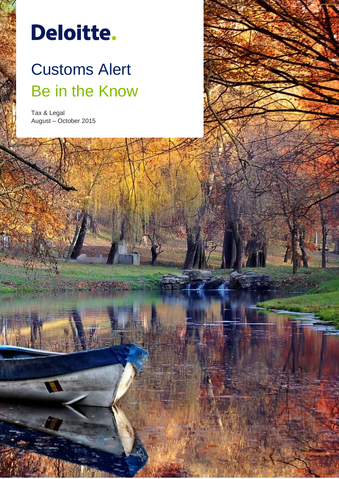# Deloitte.

# Customs Alert Be in the Know

Customs Alert, August-October 2015 **0**

Tax & Legal August – October 2015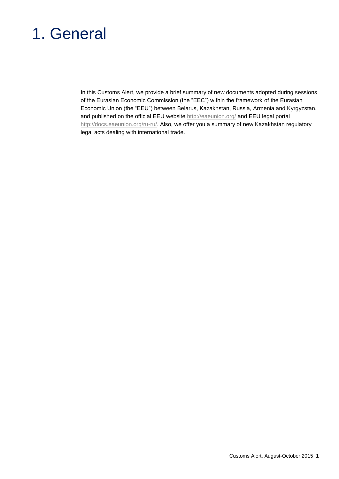# 1. General

In this Customs Alert, we provide a brief summary of new documents adopted during sessions of the Eurasian Economic Commission (the "EEC") within the framework of the Eurasian Economic Union (the "EEU") between Belarus, Kazakhstan, Russia, Armenia and Kyrgyzstan, and published on the official EEU website http://eaeunion.org/ and EEU legal portal http://docs.eaeunion.org/ru-ru/. Also, we offer you a summary of new Kazakhstan regulatory legal acts dealing with international trade.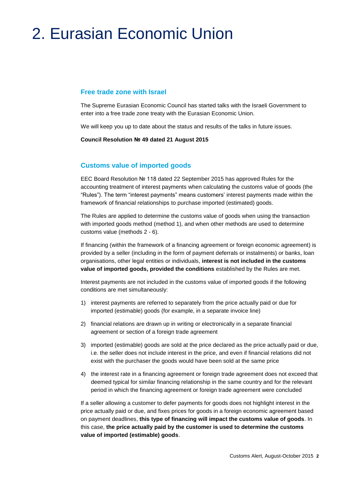# 2. Eurasian Economic Union

#### **Free trade zone with Israel**

The Supreme Eurasian Economic Council has started talks with the Israeli Government to enter into a free trade zone treaty with the Eurasian Economic Union.

We will keep you up to date about the status and results of the talks in future issues.

**Council Resolution № 49 dated 21 August 2015**

#### **Customs value of imported goods**

EEC Board Resolution № 118 dated 22 September 2015 has approved Rules for the accounting treatment of interest payments when calculating the customs value of goods (the "Rules"). The term "interest payments" means customers' interest payments made within the framework of financial relationships to purchase imported (estimated) goods.

The Rules are applied to determine the customs value of goods when using the transaction with imported goods method (method 1), and when other methods are used to determine customs value (methods 2 - 6).

If financing (within the framework of a financing agreement or foreign economic agreement) is provided by a seller (including in the form of payment deferrals or instalments) or banks, loan organisations, other legal entities or individuals, **interest is not included in the customs value of imported goods, provided the conditions** established by the Rules are met.

Interest payments are not included in the customs value of imported goods if the following conditions are met simultaneously:

- 1) interest payments are referred to separately from the price actually paid or due for imported (estimable) goods (for example, in a separate invoice line)
- 2) financial relations are drawn up in writing or electronically in a separate financial agreement or section of a foreign trade agreement
- 3) imported (estimable) goods are sold at the price declared as the price actually paid or due, i.e. the seller does not include interest in the price, and even if financial relations did not exist with the purchaser the goods would have been sold at the same price
- 4) the interest rate in a financing agreement or foreign trade agreement does not exceed that deemed typical for similar financing relationship in the same country and for the relevant period in which the financing agreement or foreign trade agreement were concluded

If a seller allowing a customer to defer payments for goods does not highlight interest in the price actually paid or due, and fixes prices for goods in a foreign economic agreement based on payment deadlines, **this type of financing will impact the customs value of goods**. In this case, **the price actually paid by the customer is used to determine the customs value of imported (estimable) goods**.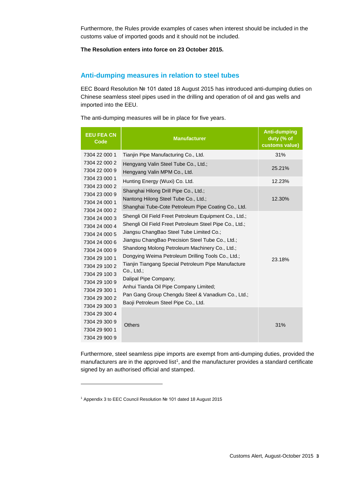Furthermore, the Rules provide examples of cases when interest should be included in the customs value of imported goods and it should not be included.

#### **The Resolution enters into force on 23 October 2015.**

#### **Anti-dumping measures in relation to steel tubes**

EEC Board Resolution № 101 dated 18 August 2015 has introduced anti-dumping duties on Chinese seamless steel pipes used in the drilling and operation of oil and gas wells and imported into the EEU.

The anti-dumping measures will be in place for five years.

| <b>EEU FEA CN</b><br><b>Code</b>                                                                                                                                                                         | <b>Manufacturer</b>                                                                                                                                                                                                                                                                                                                                                                                                                                                                                                                                                                                                                                                                                     | <b>Anti-dumping</b><br>duty (% of<br>customs value) |
|----------------------------------------------------------------------------------------------------------------------------------------------------------------------------------------------------------|---------------------------------------------------------------------------------------------------------------------------------------------------------------------------------------------------------------------------------------------------------------------------------------------------------------------------------------------------------------------------------------------------------------------------------------------------------------------------------------------------------------------------------------------------------------------------------------------------------------------------------------------------------------------------------------------------------|-----------------------------------------------------|
| 7304 22 000 1                                                                                                                                                                                            | Tianjin Pipe Manufacturing Co., Ltd.                                                                                                                                                                                                                                                                                                                                                                                                                                                                                                                                                                                                                                                                    | 31%                                                 |
| 7304 22 000 2<br>7304 22 000 9                                                                                                                                                                           | Hengyang Valin Steel Tube Co., Ltd.;<br>Hengyang Valin MPM Co., Ltd.                                                                                                                                                                                                                                                                                                                                                                                                                                                                                                                                                                                                                                    | 25.21%                                              |
| 7304 23 000 1                                                                                                                                                                                            | Hunting Energy (Wuxi) Co. Ltd.                                                                                                                                                                                                                                                                                                                                                                                                                                                                                                                                                                                                                                                                          | 12.23%                                              |
| 7304 23 000 2<br>7304 23 000 9<br>7304 24 000 1<br>7304 24 000 2                                                                                                                                         | Shanghai Hilong Drill Pipe Co., Ltd.;<br>Nantong Hilong Steel Tube Co., Ltd.;<br>Shanghai Tube-Cote Petroleum Pipe Coating Co., Ltd.<br>Shengli Oil Field Freet Petroleum Equipment Co., Ltd.;<br>Shengli Oil Field Freet Petroleum Steel Pipe Co., Ltd.;<br>Jiangsu ChangBao Steel Tube Limited Co.;<br>Jiangsu ChangBao Precision Steel Tube Co., Ltd.;<br>Shandong Molong Petroleum Machinery Co., Ltd.;<br>Dongying Weima Petroleum Drilling Tools Co., Ltd.;<br>Tianjin Tiangang Special Petroleum Pipe Manufacture<br>Co., Ltd.;<br>Dalipal Pipe Company;<br>Anhui Tianda Oil Pipe Company Limited;<br>Pan Gang Group Chengdu Steel & Vanadium Co., Ltd.;<br>Baoji Petroleum Steel Pipe Co., Ltd. | 12.30%                                              |
| 7304 24 000 3<br>7304 24 000 4<br>7304 24 000 5<br>7304 24 000 6<br>7304 24 000 9<br>7304 29 100 1<br>7304 29 100 2<br>7304 29 100 3<br>7304 29 100 9<br>7304 29 300 1<br>7304 29 300 2<br>7304 29 300 3 |                                                                                                                                                                                                                                                                                                                                                                                                                                                                                                                                                                                                                                                                                                         | 23.18%                                              |
| 7304 29 300 4<br>7304 29 300 9<br>7304 29 900 1<br>7304 29 900 9                                                                                                                                         | Others                                                                                                                                                                                                                                                                                                                                                                                                                                                                                                                                                                                                                                                                                                  | 31%                                                 |

Furthermore, steel seamless pipe imports are exempt from anti-dumping duties, provided the manufacturers are in the approved list<sup>1</sup>, and the manufacturer provides a standard certificate signed by an authorised official and stamped.

<sup>1</sup> Appendix 3 to EEC Council Resolution № 101 dated 18 August 2015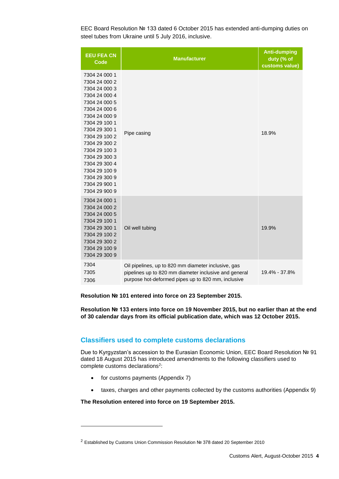EEC Board Resolution № 133 dated 6 October 2015 has extended anti-dumping duties on steel tubes from Ukraine until 5 July 2016, inclusive.

| <b>EEU FEA CN</b><br><b>Code</b>                                                                                                                                                                                                                                                                               | <b>Manufacturer</b>                                                                                                                                                | <b>Anti-dumping</b><br>duty (% of<br>customs value) |
|----------------------------------------------------------------------------------------------------------------------------------------------------------------------------------------------------------------------------------------------------------------------------------------------------------------|--------------------------------------------------------------------------------------------------------------------------------------------------------------------|-----------------------------------------------------|
| 7304 24 000 1<br>7304 24 000 2<br>7304 24 000 3<br>7304 24 000 4<br>7304 24 000 5<br>7304 24 000 6<br>7304 24 000 9<br>7304 29 100 1<br>7304 29 300 1<br>7304 29 100 2<br>7304 29 300 2<br>7304 29 100 3<br>7304 29 300 3<br>7304 29 300 4<br>7304 29 100 9<br>7304 29 300 9<br>7304 29 900 1<br>7304 29 900 9 | Pipe casing                                                                                                                                                        | 18.9%                                               |
| 7304 24 000 1<br>7304 24 000 2<br>7304 24 000 5<br>7304 29 100 1<br>7304 29 300 1<br>7304 29 100 2<br>7304 29 300 2<br>7304 29 100 9<br>7304 29 300 9                                                                                                                                                          | Oil well tubing                                                                                                                                                    | 19.9%                                               |
| 7304<br>7305<br>7306                                                                                                                                                                                                                                                                                           | Oil pipelines, up to 820 mm diameter inclusive, gas<br>pipelines up to 820 mm diameter inclusive and general<br>purpose hot-deformed pipes up to 820 mm, inclusive | 19.4% - 37.8%                                       |

#### **Resolution № 101 entered into force on 23 September 2015.**

**Resolution № 133 enters into force on 19 November 2015, but no earlier than at the end of 30 calendar days from its official publication date, which was 12 October 2015.**

#### **Classifiers used to complete customs declarations**

Due to Kyrgyzstan's accession to the Eurasian Economic Union, EEC Board Resolution № 91 dated 18 August 2015 has introduced amendments to the following classifiers used to complete customs declarations<sup>2</sup>:

for customs payments (Appendix 7)

l

taxes, charges and other payments collected by the customs authorities (Appendix 9)

#### **The Resolution entered into force on 19 September 2015.**

<sup>2</sup> Established by Customs Union Commission Resolution № 378 dated 20 September 2010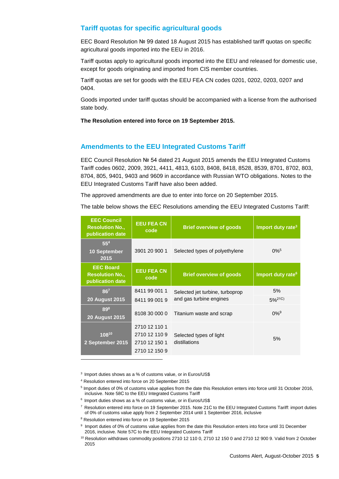#### **Tariff quotas for specific agricultural goods**

EEC Board Resolution № 99 dated 18 August 2015 has established tariff quotas on specific agricultural goods imported into the EEU in 2016.

Tariff quotas apply to agricultural goods imported into the EEU and released for domestic use, except for goods originating and imported from CIS member countries.

Tariff quotas are set for goods with the EEU FEA CN codes 0201, 0202, 0203, 0207 and 0404.

Goods imported under tariff quotas should be accompanied with a license from the authorised state body.

**The Resolution entered into force on 19 September 2015.**

#### **Amendments to the EEU Integrated Customs Tariff**

EEC Council Resolution № 54 dated 21 August 2015 amends the EEU Integrated Customs Tariff codes 0602, 2009, 3921, 4411, 4813, 6103, 8408, 8418, 8528, 8539, 8701, 8702, 803, 8704, 805, 9401, 9403 and 9609 in accordance with Russian WTO obligations. Notes to the EEU Integrated Customs Tariff have also been added.

The approved amendments are due to enter into force on 20 September 2015.

The table below shows the EEC Resolutions amending the EEU Integrated Customs Tariff:

| <b>EEC Council</b><br><b>Resolution No.,</b><br>publication date | <b>EEU FEA CN</b><br>code      | <b>Brief overview of goods</b>  | Import duty rate <sup>3</sup> |
|------------------------------------------------------------------|--------------------------------|---------------------------------|-------------------------------|
| $55^{4}$<br><b>10 September</b><br>2015                          | 3901 20 900 1                  | Selected types of polyethylene  | $0\%$ <sup>5</sup>            |
| <b>EEC Board</b><br><b>Resolution No.,</b><br>publication date   | <b>EEU FEA CN</b><br>code      | <b>Brief overview of goods</b>  | Import duty rate <sup>6</sup> |
| $86^{7}$                                                         | 8411 99 001 1                  | Selected jet turbine, turboprop | 5%                            |
| <b>20 August 2015</b>                                            | 8411 99 001 9                  | and gas turbine engines         | $5%^{21C}$                    |
| 898<br><b>20 August 2015</b>                                     | 8108 30 000 0                  | Titanium waste and scrap        | $0\%$ <sup>9</sup>            |
|                                                                  | 2710 12 110 1                  |                                 |                               |
| 10810                                                            | 2710 12 110 9                  | Selected types of light         | 5%                            |
| 2 September 2015                                                 | 2710 12 150 1<br>2710 12 150 9 | distillations                   |                               |

3 Import duties shows as a % of customs value, or in Euros/US\$

- 6 Import duties shows as a % of customs value, or in Euros/US\$
- <sup>7</sup> Resolution entered into force on 19 September 2015. Note 21С to the EEU Integrated Customs Tariff: import duties of 0% of customs value apply from 2 September 2014 until 1 September 2016, inclusive
- <sup>8</sup> Resolution entered into force on 19 September 2015
- 9 Import duties of 0% of customs value applies from the date this Resolution enters into force until 31 December 2016, inclusive. Note 57С to the EEU Integrated Customs Tariff

<sup>4</sup> Resolution entered into force on 20 September 2015

<sup>&</sup>lt;sup>5</sup> Import duties of 0% of customs value applies from the date this Resolution enters into force until 31 October 2016, inclusive. Note 58С to the EEU Integrated Customs Tariff

<sup>&</sup>lt;sup>10</sup> Resolution withdraws commodity positions 2710 12 110 0, 2710 12 150 0 and 2710 12 900 9. Valid from 2 October 2015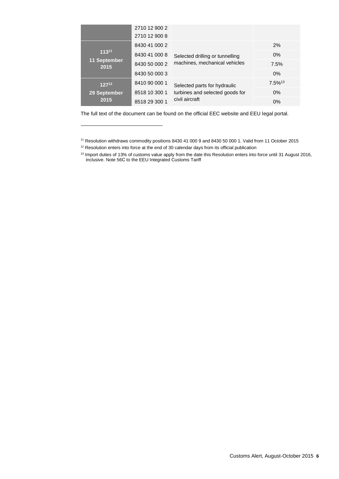|                                    | 2710 12 900 2 |                                                                                   |                       |
|------------------------------------|---------------|-----------------------------------------------------------------------------------|-----------------------|
|                                    | 2710 12 900 8 |                                                                                   |                       |
| 11311<br>11 September<br>2015      | 8430 41 000 2 | Selected drilling or tunnelling<br>machines, mechanical vehicles                  | 2%                    |
|                                    | 8430 41 000 8 |                                                                                   | $0\%$                 |
|                                    | 8430 50 000 2 |                                                                                   | 7.5%                  |
|                                    | 8430 50 000 3 |                                                                                   | $0\%$                 |
| $127^{12}$<br>29 September<br>2015 | 8410 90 000 1 | Selected parts for hydraulic<br>turbines and selected goods for<br>civil aircraft | $7.5\%$ <sup>13</sup> |
|                                    | 8518 10 300 1 |                                                                                   | $0\%$                 |
|                                    | 8518 29 300 1 |                                                                                   | 0%                    |

The full text of the document can be found on the official EEC website and EEU legal portal.

<sup>11</sup> Resolution withdraws commodity positions 8430 41 000 9 and 8430 50 000 1. Valid from 11 October 2015

<sup>&</sup>lt;sup>12</sup> Resolution enters into force at the end of 30 calendar days from its official publication

<sup>&</sup>lt;sup>13</sup> Import duties of 13% of customs value apply from the date this Resolution enters into force until 31 August 2016, inclusive. Note 56С to the EEU Integrated Customs Tariff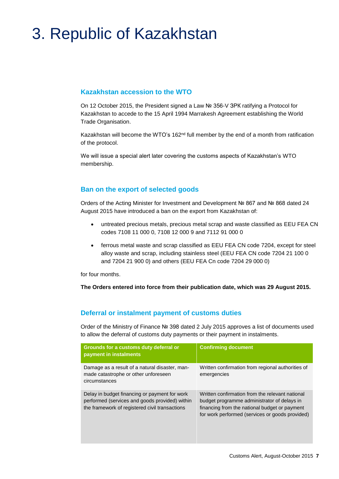# 3. Republic of Kazakhstan

### **Kazakhstan accession to the WTO**

On 12 October 2015, the President signed a Law № 356-V ЗРК ratifying a Protocol for Kazakhstan to accede to the 15 April 1994 Marrakesh Agreement establishing the World Trade Organisation.

Kazakhstan will become the WTO's 162<sup>nd</sup> full member by the end of a month from ratification of the protocol.

We will issue a special alert later covering the customs aspects of Kazakhstan's WTO membership.

### **Ban on the export of selected goods**

Orders of the Acting Minister for Investment and Development № 867 and № 868 dated 24 August 2015 have introduced a ban on the export from Kazakhstan of:

- untreated precious metals, precious metal scrap and waste classified as EEU FEA CN codes 7108 11 000 0, 7108 12 000 9 and 7112 91 000 0
- ferrous metal waste and scrap classified as EEU FEA CN code 7204, except for steel alloy waste and scrap, including stainless steel (EEU FEA CN code 7204 21 100 0 and 7204 21 900 0) and others (EEU FEA Cn code 7204 29 000 0)

for four months.

**The Orders entered into force from their publication date, which was 29 August 2015.**

#### **Deferral or instalment payment of customs duties**

Order of the Ministry of Finance № 398 dated 2 July 2015 approves a list of documents used to allow the deferral of customs duty payments or their payment in instalments.

| Grounds for a customs duty deferral or<br>payment in instalments                                                                                  | <b>Confirming document</b>                                                                                                                                                                         |
|---------------------------------------------------------------------------------------------------------------------------------------------------|----------------------------------------------------------------------------------------------------------------------------------------------------------------------------------------------------|
| Damage as a result of a natural disaster, man-<br>made catastrophe or other unforeseen<br>circumstances                                           | Written confirmation from regional authorities of<br>emergencies                                                                                                                                   |
| Delay in budget financing or payment for work<br>performed (services and goods provided) within<br>the framework of registered civil transactions | Written confirmation from the relevant national<br>budget programme administrator of delays in<br>financing from the national budget or payment<br>for work performed (services or goods provided) |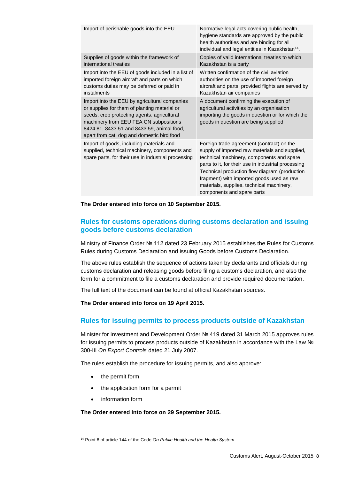| Import of perishable goods into the EEU                                                                                                                                                                                                                                            | Normative legal acts covering public health,<br>hygiene standards are approved by the public<br>health authorities and are binding for all<br>individual and legal entities in Kazakhstan <sup>14</sup> .                                                                                                                                                                |
|------------------------------------------------------------------------------------------------------------------------------------------------------------------------------------------------------------------------------------------------------------------------------------|--------------------------------------------------------------------------------------------------------------------------------------------------------------------------------------------------------------------------------------------------------------------------------------------------------------------------------------------------------------------------|
| Supplies of goods within the framework of<br>international treaties                                                                                                                                                                                                                | Copies of valid international treaties to which<br>Kazakhstan is a party                                                                                                                                                                                                                                                                                                 |
| Import into the EEU of goods included in a list of<br>imported foreign aircraft and parts on which<br>customs duties may be deferred or paid in<br>instalments                                                                                                                     | Written confirmation of the civil aviation<br>authorities on the use of imported foreign<br>aircraft and parts, provided flights are served by<br>Kazakhstan air companies                                                                                                                                                                                               |
| Import into the EEU by agricultural companies<br>or supplies for them of planting material or<br>seeds, crop protecting agents, agricultural<br>machinery from EEU FEA CN subpositions<br>8424 81, 8433 51 and 8433 59, animal food,<br>apart from cat, dog and domestic bird food | A document confirming the execution of<br>agricultural activities by an organisation<br>importing the goods in question or for which the<br>goods in question are being supplied                                                                                                                                                                                         |
| Import of goods, including materials and<br>supplied, technical machinery, components and<br>spare parts, for their use in industrial processing                                                                                                                                   | Foreign trade agreement (contract) on the<br>supply of imported raw materials and supplied,<br>technical machinery, components and spare<br>parts to it, for their use in industrial processing<br>Technical production flow diagram (production<br>fragment) with imported goods used as raw<br>materials, supplies, technical machinery,<br>components and spare parts |

**The Order entered into force on 10 September 2015.**

### **Rules for customs operations during customs declaration and issuing goods before customs declaration**

Ministry of Finance Order № 112 dated 23 February 2015 establishes the Rules for Customs Rules during Customs Declaration and issuing Goods before Customs Declaration.

The above rules establish the sequence of actions taken by declarants and officials during customs declaration and releasing goods before filing a customs declaration, and also the form for a commitment to file a customs declaration and provide required documentation.

The full text of the document can be found at official Kazakhstan sources.

**The Order entered into force on 19 April 2015.**

### **Rules for issuing permits to process products outside of Kazakhstan**

Minister for Investment and Development Order № 419 dated 31 March 2015 approves rules for issuing permits to process products outside of Kazakhstan in accordance with the Law № 300-III *On Export Controls* dated 21 July 2007.

The rules establish the procedure for issuing permits, and also approve:

- the permit form
- the application form for a permit
- information form

l

**The Order entered into force on 29 September 2015.**

<sup>14</sup> Point 6 of article 144 of the Code *On Public Health and the Health System*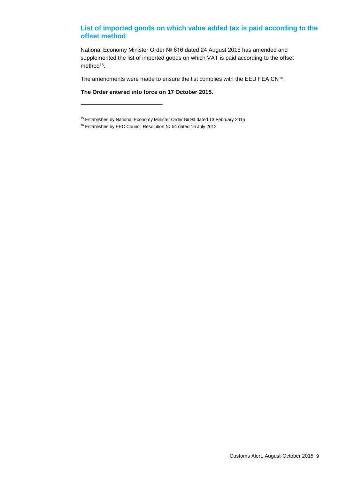### **List of imported goods on which value added tax is paid according to the offset method**

National Economy Minister Order № 616 dated 24 August 2015 has amended and supplemented the list of imported goods on which VAT is paid according to the offset method<sup>15</sup>.

The amendments were made to ensure the list complies with the EEU FEA CN<sup>16</sup>.

**The Order entered into force on 17 October 2015.**

<sup>15</sup> Establishes by National Economy Minister Order № 93 dated 13 February 2015

<sup>16</sup> Establishes by EEC Council Resolution № 54 dated 16 July 2012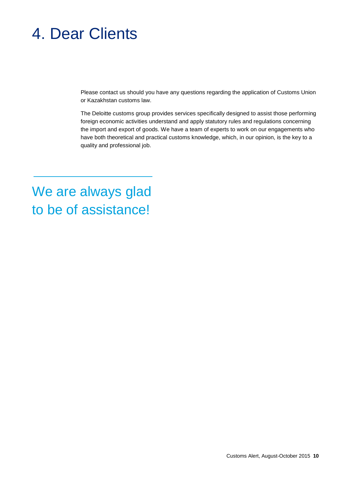# 4. Dear Clients

Please contact us should you have any questions regarding the application of Customs Union or Kazakhstan customs law.

The Deloitte customs group provides services specifically designed to assist those performing foreign economic activities understand and apply statutory rules and regulations concerning the import and export of goods. We have a team of experts to work on our engagements who have both theoretical and practical customs knowledge, which, in our opinion, is the key to a quality and professional job.

We are always glad to be of assistance!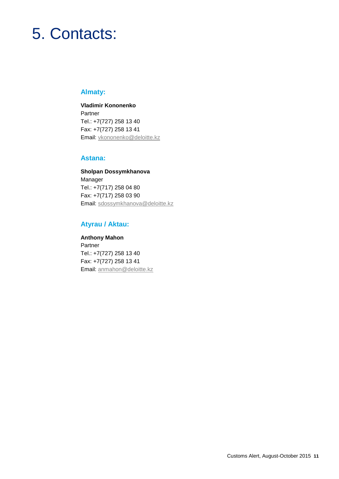# 5. Contacts:

## **Almaty:**

**Vladimir Kononenko** Partner Tel.: +7(727) 258 13 40 Fax: +7(727) 258 13 41 Email: [vkononenko@deloitte.kz](mailto:vkononenko@deloitte.kz)

#### **Astana:**

**Sholpan Dossymkhanova** Manager Tel.: +7(717) 258 04 80 Fax: +7(717) 258 03 90 Email: sdossymkhanova@deloitte.kz

## **Atyrau / Aktau:**

**Anthony Mahon** Partner Tel.: +7(727) 258 13 40 Fax: +7(727) 258 13 41 Email: anmahon@deloitte.kz